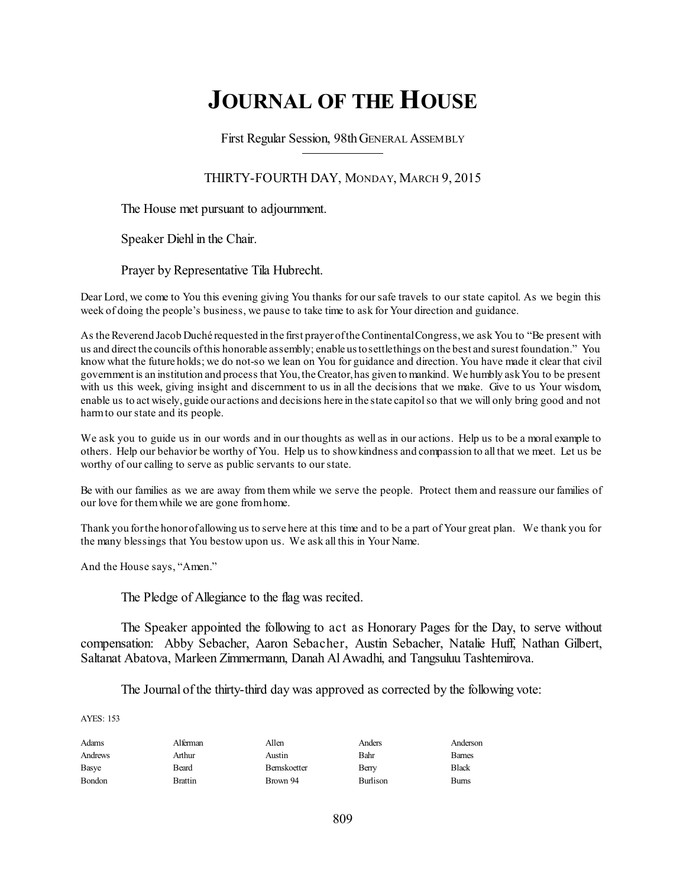# **JOURNAL OF THE HOUSE**

First Regular Session, 98thGENERAL ASSEMBLY

THIRTY-FOURTH DAY, MONDAY, MARCH 9, 2015

The House met pursuant to adjournment.

Speaker Diehl in the Chair.

Prayer by Representative Tila Hubrecht.

Dear Lord, we come to You this evening giving You thanks for our safe travels to our state capitol. As we begin this week of doing the people's business, we pause to take time to ask for Your direction and guidance.

As the Reverend Jacob Duché requested in the first prayer of the Continental Congress, we ask You to "Be present with us and direct the councils ofthis honorable assembly; enable ustosettlethings on the best and surest foundation." You know what the future holds; we do not-so we lean on You for guidance and direction. You have made it clear that civil government is an institution and process that You,theCreator,has given to mankind. We humbly askYou to be present with us this week, giving insight and discernment to us in all the decisions that we make. Give to us Your wisdom, enable us to act wisely,guide our actions and decisions here in the state capitolso that we will only bring good and not harmto ourstate and its people.

We ask you to guide us in our words and in our thoughts as well as in our actions. Help us to be a moral example to others. Help our behavior be worthy of You. Help us to showkindness and compassion to all that we meet. Let us be worthy of our calling to serve as public servants to ourstate.

Be with our families as we are away from them while we serve the people. Protect them and reassure our families of our love for themwhile we are gone fromhome.

Thank you forthe honorof allowing us to serve here at this time and to be a part of Your great plan. We thank you for the many blessings that You bestow upon us. We ask all this in Your Name.

And the House says, "Amen."

The Pledge of Allegiance to the flag was recited.

The Speaker appointed the following to act as Honorary Pages for the Day, to serve without compensation: Abby Sebacher, Aaron Sebacher, Austin Sebacher, Natalie Huff, Nathan Gilbert, Saltanat Abatova, Marleen Zimmermann, Danah Al Awadhi, and Tangsuluu Tashtemirova.

The Journal of the thirty-third day was approved as corrected by the following vote:

AYES: 153

| Adams   | Alferman | Allen        | Anders   | Anderson     |
|---------|----------|--------------|----------|--------------|
| Andrews | Arthur   | Austin       | Bahr     | <b>Bames</b> |
| Basye   | Beard    | Bernskoetter | Berry    | Black        |
| Bondon  | Brattin  | Brown 94     | Burlison | Burns        |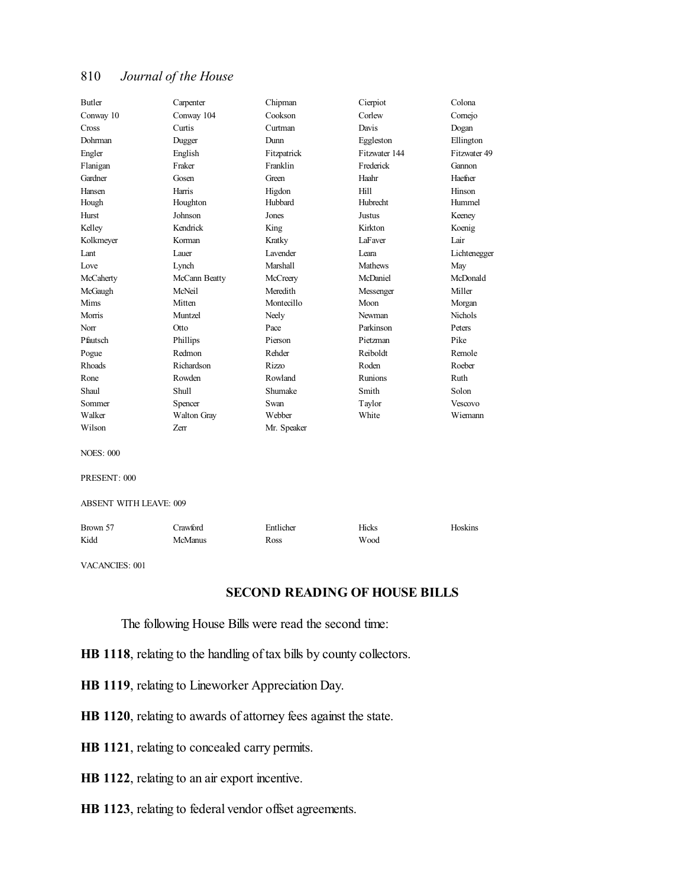| Butler                        | Carpenter      | Chipman     | Cierpiot       | Colona         |  |  |
|-------------------------------|----------------|-------------|----------------|----------------|--|--|
| Conway 10                     | Conway 104     | Cookson     | Corlew         | Comejo         |  |  |
| Cross                         | Curtis         | Curtman     | Davis          | Dogan          |  |  |
| Dohrman                       | Dugger         | Dunn        | Eggleston      | Ellington      |  |  |
| Engler                        | English        | Fitzpatrick | Fitzwater 144  | Fitzwater 49   |  |  |
| Flanigan                      | Fraker         | Franklin    | Frederick      | Gannon         |  |  |
| Gardner                       | Gosen          | Green       | Haahr          | Haefner        |  |  |
| Hansen                        | Harris         | Higdon      | Hill           | Hinson         |  |  |
| Hough                         | Houghton       | Hubbard     | Hubrecht       | Hummel         |  |  |
| Hurst                         | Johnson        | Jones       | Justus         | Keeney         |  |  |
| Kelley                        | Kendrick       | King        | Kirkton        | Koenig         |  |  |
| Kolkmeyer                     | Korman         | Kratky      | LaFaver        | Lair           |  |  |
| Lant                          | Lauer          | Lavender    | Leara          | Lichtenegger   |  |  |
| Love                          | Lynch          | Marshall    | <b>Mathews</b> | May            |  |  |
| McCaherty                     | McCann Beatty  | McCreery    | McDaniel       | McDonald       |  |  |
| McGaugh                       | McNeil         | Meredith    | Messenger      | Miller         |  |  |
| Mims                          | Mitten         | Montecillo  | Moon           | Morgan         |  |  |
| Morris                        | Muntzel        | Neely       | Newman         | <b>Nichols</b> |  |  |
| Norr                          | Otto           | Pace        | Parkinson      | Peters         |  |  |
| Pfautsch                      | Phillips       | Pierson     | Pietzman       | Pike           |  |  |
| Pogue                         | Redmon         | Rehder      | Reiboldt       | Remole         |  |  |
| <b>Rhoads</b>                 | Richardson     | Rizzo       | Roden          | Roeber         |  |  |
| Rone                          | Rowden         | Rowland     | Runions        | Ruth           |  |  |
| Shaul                         | Shull          | Shumake     | Smith          | Solon          |  |  |
| Sommer                        | Spencer        | Swan        | Taylor         | Vescovo        |  |  |
| Walker                        | Walton Gray    | Webber      | White          | Wiemann        |  |  |
| Wilson                        | Zerr           | Mr. Speaker |                |                |  |  |
| <b>NOES: 000</b>              |                |             |                |                |  |  |
| PRESENT: 000                  |                |             |                |                |  |  |
| <b>ABSENT WITH LEAVE: 009</b> |                |             |                |                |  |  |
| Brown 57                      | Crawford       | Entlicher   | Hicks          | Hoskins        |  |  |
| Kidd                          | <b>McManus</b> | Ross        | Wood           |                |  |  |
|                               |                |             |                |                |  |  |

VACANCIES: 001

# **SECOND READING OF HOUSE BILLS**

The following House Bills were read the second time:

- **HB 1118**, relating to the handling of tax bills by county collectors.
- **HB 1119**, relating to Lineworker Appreciation Day.
- **HB 1120**, relating to awards of attorney fees against the state.
- **HB 1121**, relating to concealed carry permits.
- **HB 1122**, relating to an air export incentive.
- **HB 1123**, relating to federal vendor offset agreements.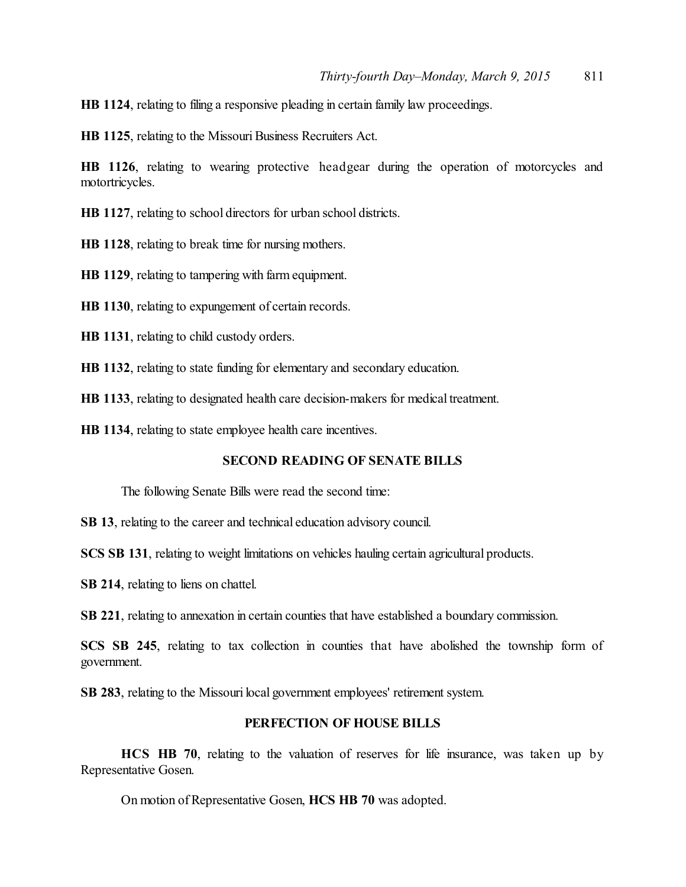**HB 1124**, relating to filing a responsive pleading in certain family law proceedings.

**HB 1125**, relating to the Missouri Business Recruiters Act.

**HB 1126**, relating to wearing protective headgear during the operation of motorcycles and motortricycles.

**HB 1127**, relating to school directors for urban school districts.

**HB 1128**, relating to break time for nursing mothers.

**HB 1129**, relating to tampering with farm equipment.

**HB 1130**, relating to expungement of certain records.

**HB 1131**, relating to child custody orders.

**HB 1132**, relating to state funding for elementary and secondary education.

**HB 1133**, relating to designated health care decision-makers for medical treatment.

**HB 1134**, relating to state employee health care incentives.

#### **SECOND READING OF SENATE BILLS**

The following Senate Bills were read the second time:

**SB 13**, relating to the career and technical education advisory council.

**SCS SB 131**, relating to weight limitations on vehicles hauling certain agricultural products.

**SB 214**, relating to liens on chattel.

**SB 221**, relating to annexation in certain counties that have established a boundary commission.

**SCS SB 245**, relating to tax collection in counties that have abolished the township form of government.

**SB 283**, relating to the Missouri local government employees' retirement system.

# **PERFECTION OF HOUSE BILLS**

**HCS HB 70**, relating to the valuation of reserves for life insurance, was taken up by Representative Gosen.

On motion of Representative Gosen, **HCS HB 70** was adopted.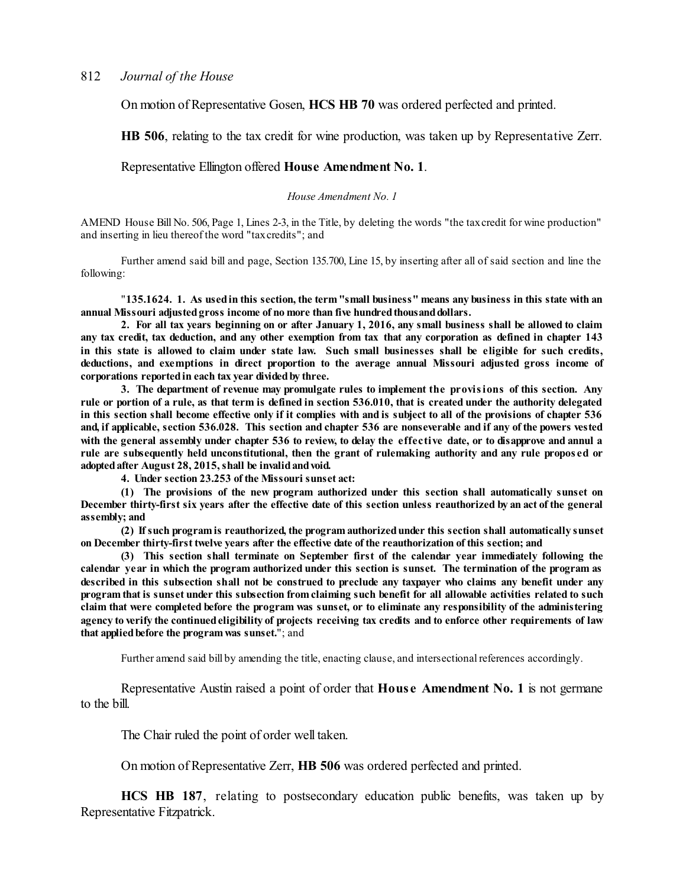On motion of Representative Gosen, **HCS HB 70** was ordered perfected and printed.

**HB 506**, relating to the tax credit for wine production, was taken up by Representative Zerr.

#### Representative Ellington offered **House Amendment No. 1**.

*House Amendment No. 1*

AMEND House Bill No. 506, Page 1, Lines 2-3, in the Title, by deleting the words "the taxcredit for wine production" and inserting in lieu thereof the word "taxcredits"; and

Further amend said bill and page, Section 135.700, Line 15, by inserting after all of said section and line the following:

"**135.1624. 1. As usedin this section, the term"small business" means any business in this state with an annual Missouri adjustedgross income of no more than five hundredthousanddollars.**

2. For all tax years beginning on or after January 1, 2016, any small business shall be allowed to claim any tax credit, tax deduction, and any other exemption from tax that any corporation as defined in chapter 143 in this state is allowed to claim under state law. Such small businesses shall be eligible for such credits, **deductions, and exemptions in direct proportion to the average annual Missouri adjusted gross income of corporations reportedin each tax year dividedby three.**

**3. The department of revenue may promulgate rules to implement the provisions of this section. Any** rule or portion of a rule, as that term is defined in section 536.010, that is created under the authority delegated in this section shall become effective only if it complies with and is subject to all of the provisions of chapter 536 and, if applicable, section 536.028. This section and chapter 536 are nonseverable and if any of the powers vested with the general assembly under chapter 536 to review, to delay the effective date, or to disapprove and annul a rule are subsequently held unconstitutional, then the grant of rulemaking authority and any rule proposed or **adoptedafter August 28, 2015,shall be invalidandvoid.**

**4. Under section 23.253 of the Missouri sunset act:**

**(1) The provisions of the new program authorized under this section shall automatically sunset on** December thirty-first six years after the effective date of this section unless reauthorized by an act of the general **assembly; and**

**(2) Ifsuch program is reauthorized, the program authorizedunder this section shall automatically sunset on December thirty-first twelve years after the effective date of the reauthorization of this section; and**

**(3) This section shall terminate on September first of the calendar year immediately following the** calendar year in which the program authorized under this section is sunset. The termination of the program as described in this subsection shall not be construed to preclude any taxpayer who claims any benefit under any program that is sunset under this subsection from claiming such benefit for all allowable activities related to such claim that were completed before the program was sunset, or to eliminate any responsibility of the administering agency to verify the continued eligibility of projects receiving tax credits and to enforce other requirements of law **that appliedbefore the program was sunset.**"; and

Further amend said bill by amending the title, enacting clause, and intersectional references accordingly.

Representative Austin raised a point of order that **Hous e Amendment No. 1** is not germane to the bill.

The Chair ruled the point of order well taken.

On motion of Representative Zerr, **HB 506** was ordered perfected and printed.

**HCS HB 187**, relating to postsecondary education public benefits, was taken up by Representative Fitzpatrick.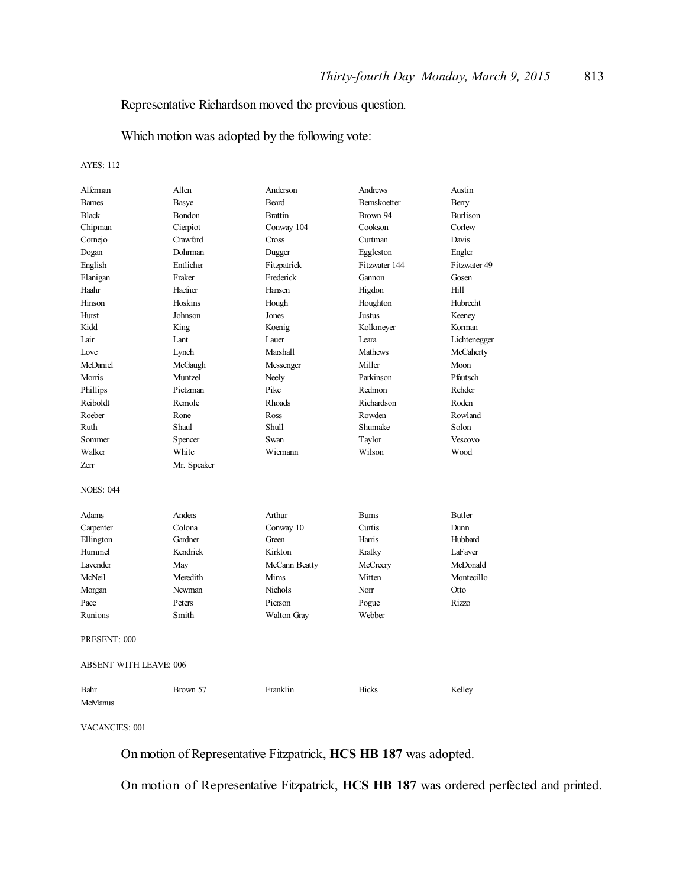# Representative Richardson moved the previous question.

Which motion was adopted by the following vote:

AYES: 112

| Alferman                      | Allen       | Anderson       | Andrews            | Austin          |  |
|-------------------------------|-------------|----------------|--------------------|-----------------|--|
| <b>Barnes</b>                 | Basye       | <b>Beard</b>   | <b>Bemskoetter</b> | Berry           |  |
| <b>Black</b>                  | Bondon      | <b>Brattin</b> | Brown 94           | <b>Burlison</b> |  |
| Chipman                       | Cierpiot    | Conway 104     | Cookson            | Corlew          |  |
| Comejo                        | Crawford    | Cross          | Curtman            | Davis           |  |
| Dogan                         | Dohrman     | Dugger         | Eggleston          | Engler          |  |
| English                       | Entlicher   | Fitzpatrick    | Fitzwater 144      | Fitzwater 49    |  |
| Flanigan                      | Fraker      | Frederick      | Gannon             | Gosen           |  |
| Haahr                         | Haefner     | Hansen         | Higdon             | Hill            |  |
| Hinson                        | Hoskins     | Hough          | Houghton           | Hubrecht        |  |
| Hurst                         | Johnson     | Jones          | Justus             | Keeney          |  |
| Kidd                          | King        | Koenig         | Kolkmeyer          | Korman          |  |
| Lair                          | Lant        | Lauer          | Leara              | Lichtenegger    |  |
| Love                          | Lynch       | Marshall       | <b>Mathews</b>     | McCaherty       |  |
| McDaniel                      | McGaugh     | Messenger      | Miller             | Moon            |  |
| Morris                        | Muntzel     | Neely          | Parkinson          | Pfautsch        |  |
| Phillips                      | Pietzman    | Pike           | Redmon             | Rehder          |  |
| Reiboldt                      | Remole      | Rhoads         | Richardson         | Roden           |  |
| Roeber                        | Rone        | Ross           | Rowden             | Rowland         |  |
| Ruth                          | Shaul       | <b>Shull</b>   | Shumake            | Solon           |  |
| Sommer                        | Spencer     | Swan           | Taylor             | Vescovo         |  |
| Walker                        | White       | Wiemann        | Wilson             | Wood            |  |
| <b>Zerr</b>                   | Mr. Speaker |                |                    |                 |  |
| <b>NOES: 044</b>              |             |                |                    |                 |  |
|                               |             |                |                    |                 |  |
| Adams                         | Anders      | Arthur         | <b>Burns</b>       | <b>Butler</b>   |  |
| Carpenter                     | Colona      | Conway 10      | Curtis             | Dunn            |  |
| Ellington                     | Gardner     | Green          | Harris             | Hubbard         |  |
| Hummel                        | Kendrick    | Kirkton        | Kratky             | LaFaver         |  |
| Lavender                      | May         | McCann Beatty  | McCreery           | McDonald        |  |
| McNeil                        | Meredith    | Mims           | Mitten             | Montecillo      |  |
| Morgan                        | Newman      | Nichols        | Norr               | Otto            |  |
| Pace                          | Peters      | Pierson        | Pogue              | Rizzo           |  |
| Runions                       | Smith       | Walton Gray    | Webber             |                 |  |
| PRESENT: 000                  |             |                |                    |                 |  |
| <b>ABSENT WITH LEAVE: 006</b> |             |                |                    |                 |  |
| Bahr                          | Brown 57    | Franklin       | <b>Hicks</b>       | Kellev          |  |

#### VACANCIES: 001

McManus

On motion of Representative Fitzpatrick, **HCS HB 187** was adopted.

On motion of Representative Fitzpatrick, **HCS HB 187** was ordered perfected and printed.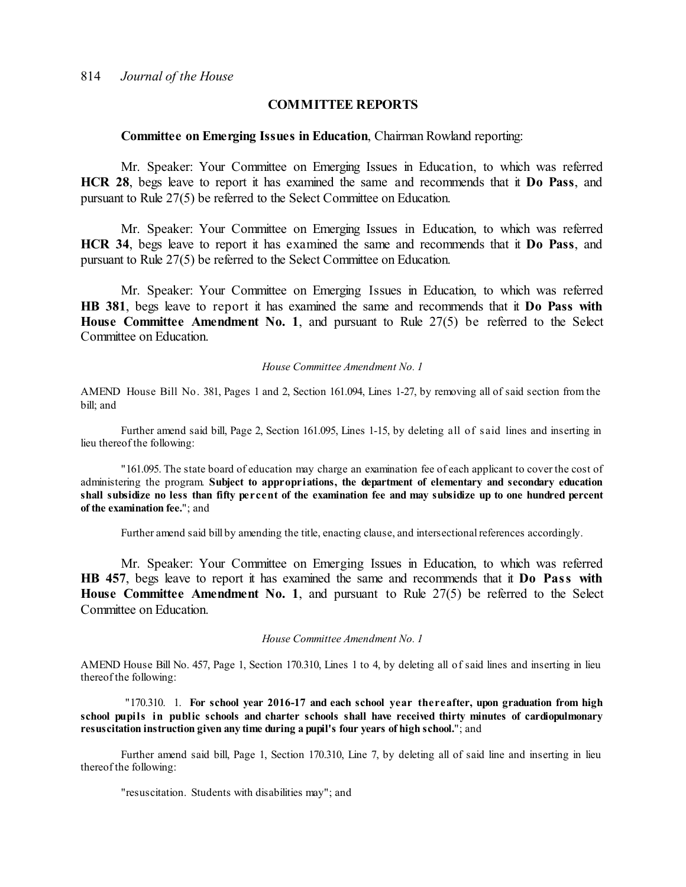#### **COMMITTEE REPORTS**

#### **Committee on Emerging Issues in Education**, Chairman Rowland reporting:

Mr. Speaker: Your Committee on Emerging Issues in Education, to which was referred **HCR 28**, begs leave to report it has examined the same and recommends that it **Do Pass**, and pursuant to Rule 27(5) be referred to the Select Committee on Education.

Mr. Speaker: Your Committee on Emerging Issues in Education, to which was referred **HCR 34**, begs leave to report it has examined the same and recommends that it **Do Pass**, and pursuant to Rule 27(5) be referred to the Select Committee on Education.

Mr. Speaker: Your Committee on Emerging Issues in Education, to which was referred **HB 381**, begs leave to report it has examined the same and recommends that it **Do Pass with House Committee Amendment No. 1**, and pursuant to Rule 27(5) be referred to the Select Committee on Education.

#### *House Committee Amendment No. 1*

AMEND House Bill No. 381, Pages 1 and 2, Section 161.094, Lines 1-27, by removing all of said section from the bill; and

Further amend said bill, Page 2, Section 161.095, Lines 1-15, by deleting all of s aid lines and inserting in lieu thereof the following:

"161.095. The state board of education may charge an examination fee of each applicant to cover the cost of administering the program. **Subject to appropriations, the department of elementary and secondary education** shall subsidize no less than fifty percent of the examination fee and may subsidize up to one hundred percent **of the examination fee.**"; and

Further amend said bill by amending the title, enacting clause, and intersectional references accordingly.

Mr. Speaker: Your Committee on Emerging Issues in Education, to which was referred **HB 457**, begs leave to report it has examined the same and recommends that it **Do Pass with House Committee Amendment No. 1**, and pursuant to Rule 27(5) be referred to the Select Committee on Education.

#### *House Committee Amendment No. 1*

AMEND House Bill No. 457, Page 1, Section 170.310, Lines 1 to 4, by deleting all of said lines and inserting in lieu thereof the following:

"170.310. 1. **For school year 2016-17 and each school year thereafter, upon graduation from high school pupils in public schools and charter schools shall have received thirty minutes of cardiopulmonary resuscitation instruction given any time during a pupil's four years of high school.**"; and

Further amend said bill, Page 1, Section 170.310, Line 7, by deleting all of said line and inserting in lieu thereof the following:

"resuscitation. Students with disabilities may"; and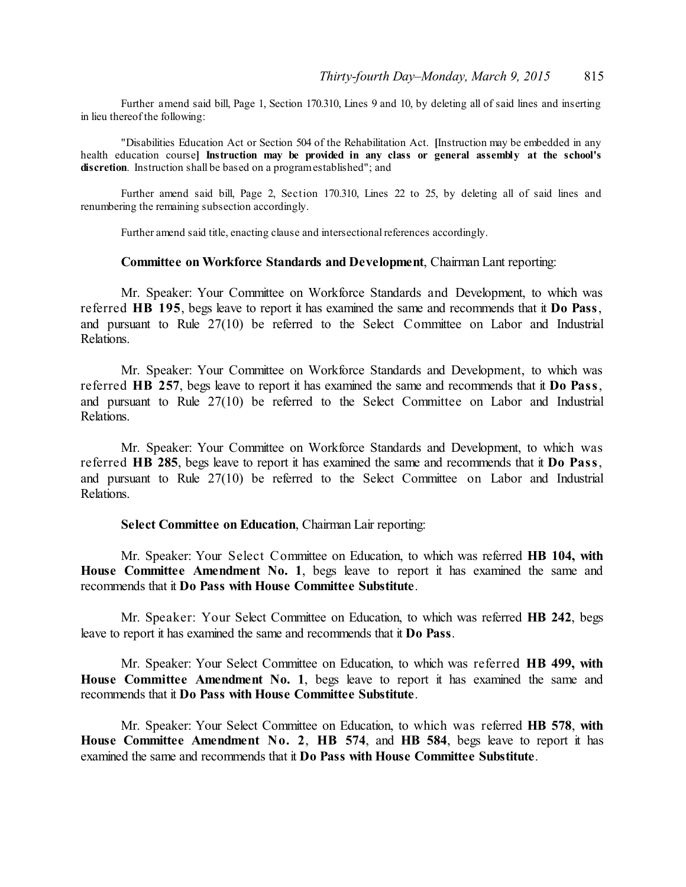Further amend said bill, Page 1, Section 170.310, Lines 9 and 10, by deleting all of said lines and inserting in lieu thereof the following:

"Disabilities Education Act or Section 504 of the Rehabilitation Act. **[**Instruction may be embedded in any health education course**] Instruction may be provided in any class or general assembly at the school's discretion**. Instruction shall be based on a programestablished"; and

Further amend said bill, Page 2, Section 170.310, Lines 22 to 25, by deleting all of said lines and renumbering the remaining subsection accordingly.

Further amend said title, enacting clause and intersectional references accordingly.

#### **Committee on Workforce Standards and Development**, Chairman Lant reporting:

Mr. Speaker: Your Committee on Workforce Standards and Development, to which was referred **HB 195**, begs leave to report it has examined the same and recommends that it **Do Pass**, and pursuant to Rule 27(10) be referred to the Select Committee on Labor and Industrial Relations.

Mr. Speaker: Your Committee on Workforce Standards and Development, to which was referred **HB 257**, begs leave to report it has examined the same and recommends that it **Do Pass**, and pursuant to Rule 27(10) be referred to the Select Committee on Labor and Industrial Relations.

Mr. Speaker: Your Committee on Workforce Standards and Development, to which was referred **HB 285**, begs leave to report it has examined the same and recommends that it **Do Pass**, and pursuant to Rule 27(10) be referred to the Select Committee on Labor and Industrial Relations.

#### **Select Committee on Education**, Chairman Lair reporting:

Mr. Speaker: Your Select Committee on Education, to which was referred **HB 104, with House Committee Amendment No. 1**, begs leave to report it has examined the same and recommends that it **Do Pass with House Committee Substitute**.

Mr. Speaker: Your Select Committee on Education, to which was referred **HB 242**, begs leave to report it has examined the same and recommends that it **Do Pass**.

Mr. Speaker: Your Select Committee on Education, to which was referred **HB 499, with House Committee Amendment No. 1**, begs leave to report it has examined the same and recommends that it **Do Pass with House Committee Substitute**.

Mr. Speaker: Your Select Committee on Education, to which was referred **HB 578**, **with House Committee Amendment No. 2**, **HB 574**, and **HB 584**, begs leave to report it has examined the same and recommends that it **Do Pass with House Committee Substitute**.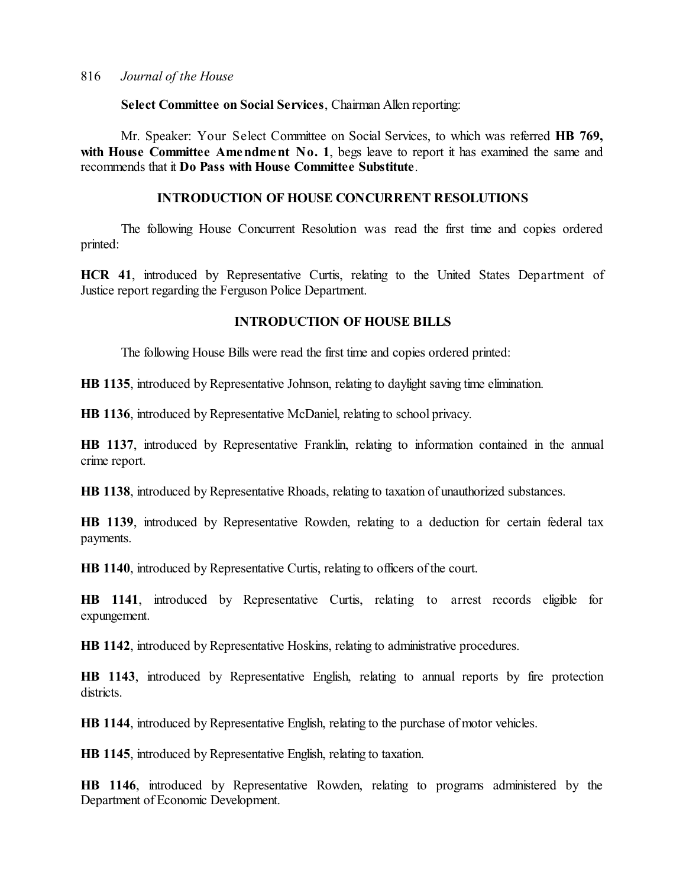**Select Committee on Social Services**, Chairman Allen reporting:

Mr. Speaker: Your Select Committee on Social Services, to which was referred **HB 769, with House Committee Amendment No. 1**, begs leave to report it has examined the same and recommends that it **Do Pass with House Committee Substitute**.

# **INTRODUCTION OF HOUSE CONCURRENT RESOLUTIONS**

The following House Concurrent Resolution was read the first time and copies ordered printed:

**HCR 41**, introduced by Representative Curtis, relating to the United States Department of Justice report regarding the Ferguson Police Department.

# **INTRODUCTION OF HOUSE BILLS**

The following House Bills were read the first time and copies ordered printed:

**HB 1135**, introduced by Representative Johnson, relating to daylight saving time elimination.

**HB 1136**, introduced by Representative McDaniel, relating to school privacy.

**HB 1137**, introduced by Representative Franklin, relating to information contained in the annual crime report.

**HB 1138**, introduced by Representative Rhoads, relating to taxation of unauthorized substances.

**HB 1139**, introduced by Representative Rowden, relating to a deduction for certain federal tax payments.

**HB 1140**, introduced by Representative Curtis, relating to officers of the court.

**HB 1141**, introduced by Representative Curtis, relating to arrest records eligible for expungement.

**HB 1142**, introduced by Representative Hoskins, relating to administrative procedures.

**HB 1143**, introduced by Representative English, relating to annual reports by fire protection districts.

**HB 1144**, introduced by Representative English, relating to the purchase of motor vehicles.

**HB 1145**, introduced by Representative English, relating to taxation.

**HB 1146**, introduced by Representative Rowden, relating to programs administered by the Department of Economic Development.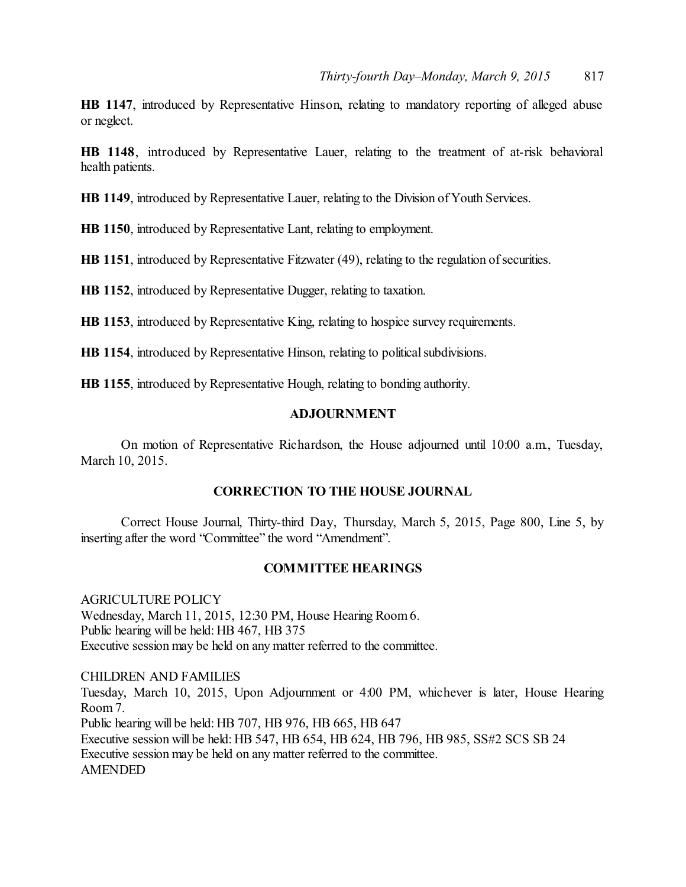**HB 1147**, introduced by Representative Hinson, relating to mandatory reporting of alleged abuse or neglect.

**HB 1148**, introduced by Representative Lauer, relating to the treatment of at-risk behavioral health patients.

**HB 1149**, introduced by Representative Lauer, relating to the Division of Youth Services.

**HB 1150**, introduced by Representative Lant, relating to employment.

**HB 1151**, introduced by Representative Fitzwater (49), relating to the regulation of securities.

**HB 1152**, introduced by Representative Dugger, relating to taxation.

**HB 1153**, introduced by Representative King, relating to hospice survey requirements.

**HB 1154**, introduced by Representative Hinson, relating to political subdivisions.

**HB 1155**, introduced by Representative Hough, relating to bonding authority.

#### **ADJOURNMENT**

On motion of Representative Richardson, the House adjourned until 10:00 a.m., Tuesday, March 10, 2015.

#### **CORRECTION TO THE HOUSE JOURNAL**

Correct House Journal, Thirty-third Day, Thursday, March 5, 2015, Page 800, Line 5, by inserting after the word "Committee" the word "Amendment".

#### **COMMITTEE HEARINGS**

AGRICULTURE POLICY Wednesday, March 11, 2015, 12:30 PM, House Hearing Room6. Public hearing will be held: HB 467, HB 375 Executive session may be held on any matter referred to the committee.

CHILDREN AND FAMILIES Tuesday, March 10, 2015, Upon Adjournment or 4:00 PM, whichever is later, House Hearing Room 7. Public hearing will be held: HB 707, HB 976, HB 665, HB 647 Executive session will be held: HB 547, HB 654, HB 624, HB 796, HB 985, SS#2 SCS SB 24 Executive session may be held on any matter referred to the committee. AMENDED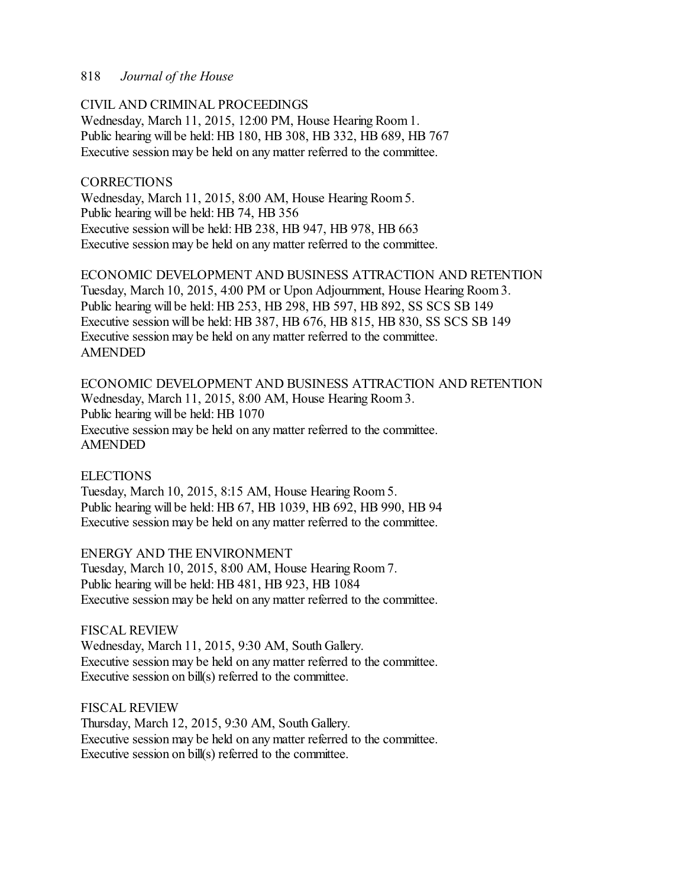# CIVIL AND CRIMINAL PROCEEDINGS

Wednesday, March 11, 2015, 12:00 PM, House Hearing Room1. Public hearing will be held: HB 180, HB 308, HB 332, HB 689, HB 767 Executive session may be held on any matter referred to the committee.

# **CORRECTIONS**

Wednesday, March 11, 2015, 8:00 AM, House Hearing Room5. Public hearing will be held: HB 74, HB 356 Executive session will be held: HB 238, HB 947, HB 978, HB 663 Executive session may be held on any matter referred to the committee.

ECONOMIC DEVELOPMENT AND BUSINESS ATTRACTION AND RETENTION Tuesday, March 10, 2015, 4:00 PM or Upon Adjournment, House Hearing Room3. Public hearing will be held: HB 253, HB 298, HB 597, HB 892, SS SCS SB 149 Executive session will be held: HB 387, HB 676, HB 815, HB 830, SS SCS SB 149 Executive session may be held on any matter referred to the committee. AMENDED

ECONOMIC DEVELOPMENT AND BUSINESS ATTRACTION AND RETENTION Wednesday, March 11, 2015, 8:00 AM, House Hearing Room3. Public hearing will be held: HB 1070 Executive session may be held on any matter referred to the committee. AMENDED

#### **ELECTIONS**

Tuesday, March 10, 2015, 8:15 AM, House Hearing Room 5. Public hearing will be held: HB 67, HB 1039, HB 692, HB 990, HB 94 Executive session may be held on any matter referred to the committee.

ENERGY AND THE ENVIRONMENT Tuesday, March 10, 2015, 8:00 AM, House Hearing Room 7.

Public hearing will be held: HB 481, HB 923, HB 1084 Executive session may be held on any matter referred to the committee.

FISCAL REVIEW Wednesday, March 11, 2015, 9:30 AM, South Gallery.

Executive session may be held on any matter referred to the committee. Executive session on bill(s) referred to the committee.

FISCAL REVIEW Thursday, March 12, 2015, 9:30 AM, South Gallery. Executive session may be held on any matter referred to the committee. Executive session on bill(s) referred to the committee.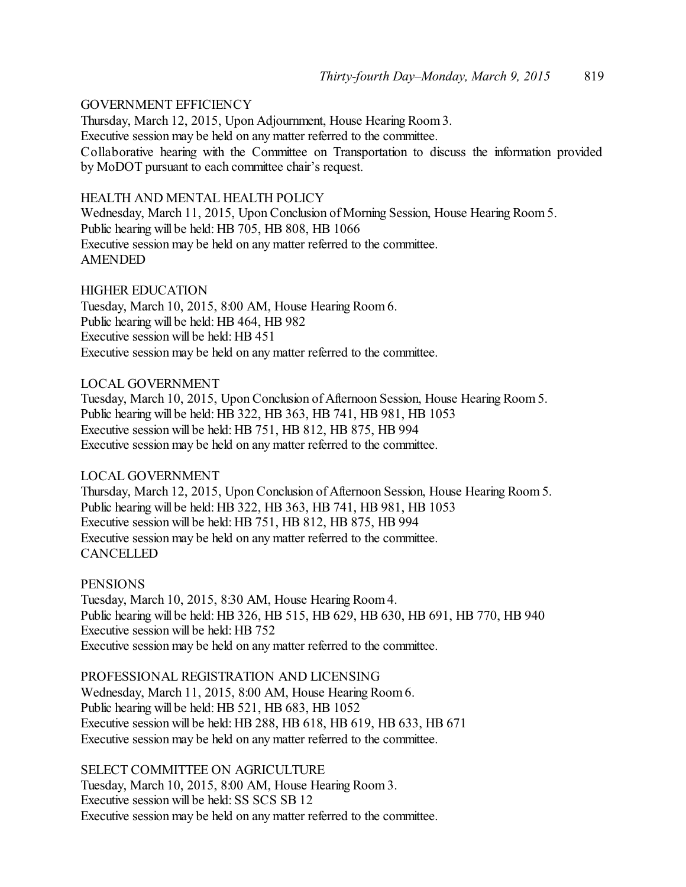# GOVERNMENT EFFICIENCY

Thursday, March 12, 2015, Upon Adjournment, House Hearing Room3. Executive session may be held on any matter referred to the committee. Collaborative hearing with the Committee on Transportation to discuss the information provided by MoDOT pursuant to each committee chair's request.

# HEALTH AND MENTAL HEALTH POLICY

Wednesday, March 11, 2015, Upon Conclusion of Morning Session, House Hearing Room 5. Public hearing will be held: HB 705, HB 808, HB 1066 Executive session may be held on any matter referred to the committee. AMENDED

# HIGHER EDUCATION

Tuesday, March 10, 2015, 8:00 AM, House Hearing Room 6. Public hearing will be held: HB 464, HB 982 Executive session will be held: HB 451 Executive session may be held on any matter referred to the committee.

# LOCAL GOVERNMENT

Tuesday, March 10, 2015, Upon Conclusion of Afternoon Session, House Hearing Room 5. Public hearing will be held: HB 322, HB 363, HB 741, HB 981, HB 1053 Executive session will be held: HB 751, HB 812, HB 875, HB 994 Executive session may be held on any matter referred to the committee.

#### LOCAL GOVERNMENT

Thursday, March 12, 2015, Upon Conclusion of Afternoon Session, House Hearing Room 5. Public hearing will be held: HB 322, HB 363, HB 741, HB 981, HB 1053 Executive session will be held: HB 751, HB 812, HB 875, HB 994 Executive session may be held on any matter referred to the committee. **CANCELLED** 

#### **PENSIONS**

Tuesday, March 10, 2015, 8:30 AM, House Hearing Room 4. Public hearing will be held: HB 326, HB 515, HB 629, HB 630, HB 691, HB 770, HB 940 Executive session will be held: HB 752 Executive session may be held on any matter referred to the committee.

PROFESSIONAL REGISTRATION AND LICENSING Wednesday, March 11, 2015, 8:00 AM, House Hearing Room6. Public hearing will be held: HB 521, HB 683, HB 1052 Executive session will be held: HB 288, HB 618, HB 619, HB 633, HB 671 Executive session may be held on any matter referred to the committee.

SELECT COMMITTEE ON AGRICULTURE Tuesday, March 10, 2015, 8:00 AM, House Hearing Room 3. Executive session will be held: SS SCS SB 12 Executive session may be held on any matter referred to the committee.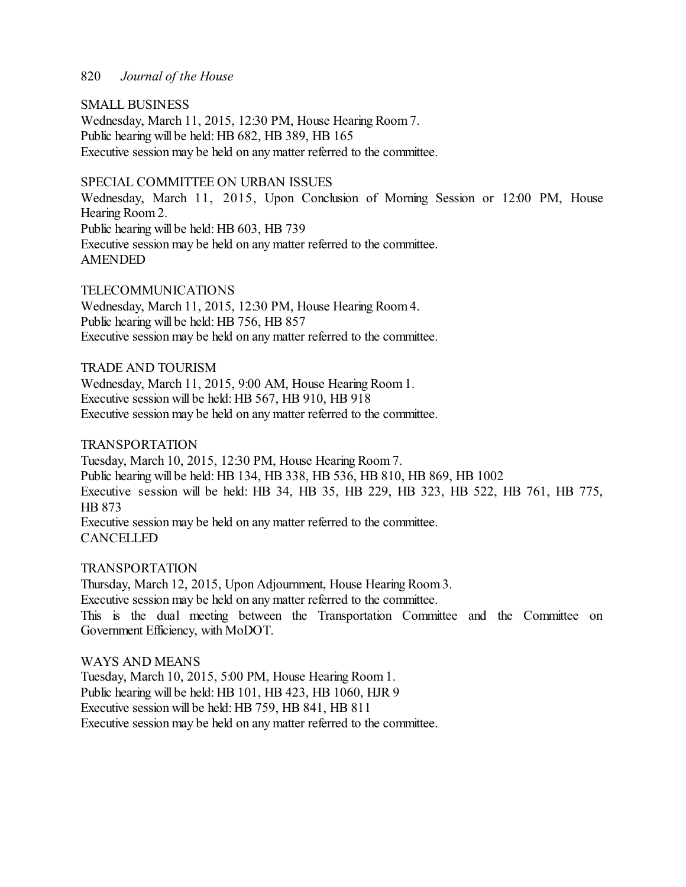# SMALL BUSINESS

Wednesday, March 11, 2015, 12:30 PM, House Hearing Room7. Public hearing will be held: HB 682, HB 389, HB 165 Executive session may be held on any matter referred to the committee.

# SPECIAL COMMITTEE ON URBAN ISSUES

Wednesday, March 11, 2015, Upon Conclusion of Morning Session or 12:00 PM, House Hearing Room 2. Public hearing will be held: HB 603, HB 739 Executive session may be held on any matter referred to the committee. AMENDED

# TELECOMMUNICATIONS

Wednesday, March 11, 2015, 12:30 PM, House Hearing Room4. Public hearing will be held: HB 756, HB 857 Executive session may be held on any matter referred to the committee.

# TRADE AND TOURISM

Wednesday, March 11, 2015, 9:00 AM, House Hearing Room1. Executive session will be held: HB 567, HB 910, HB 918 Executive session may be held on any matter referred to the committee.

# TRANSPORTATION

Tuesday, March 10, 2015, 12:30 PM, House Hearing Room 7. Public hearing will be held: HB 134, HB 338, HB 536, HB 810, HB 869, HB 1002 Executive session will be held: HB 34, HB 35, HB 229, HB 323, HB 522, HB 761, HB 775, HB 873 Executive session may be held on any matter referred to the committee. **CANCELLED** 

#### TRANSPORTATION

Thursday, March 12, 2015, Upon Adjournment, House Hearing Room3. Executive session may be held on any matter referred to the committee. This is the dual meeting between the Transportation Committee and the Committee on Government Efficiency, with MoDOT.

#### WAYS AND MEANS

Tuesday, March 10, 2015, 5:00 PM, House Hearing Room 1. Public hearing will be held: HB 101, HB 423, HB 1060, HJR 9 Executive session will be held: HB 759, HB 841, HB 811 Executive session may be held on any matter referred to the committee.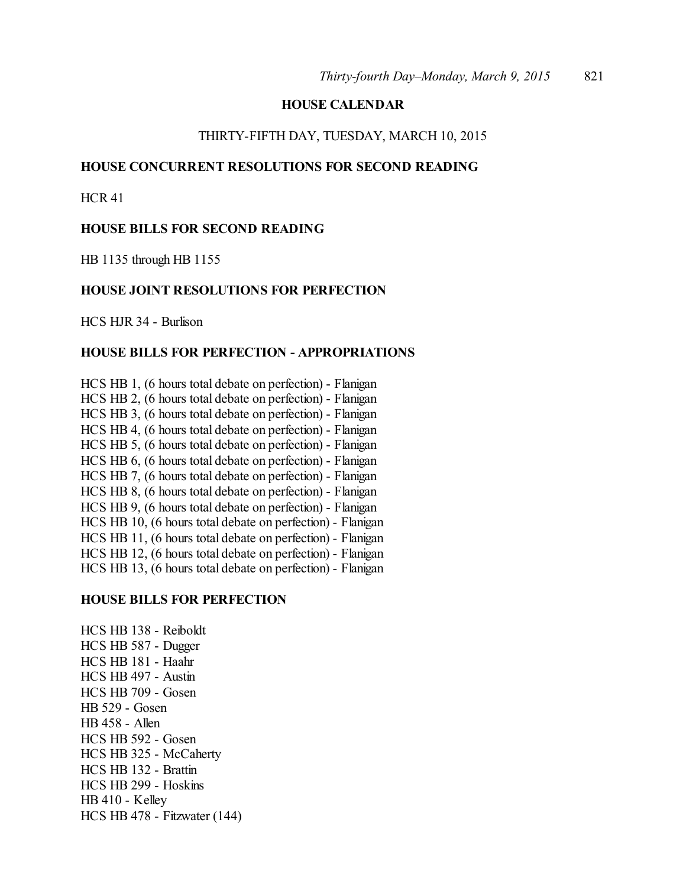# **HOUSE CALENDAR**

#### THIRTY-FIFTH DAY, TUESDAY, MARCH 10, 2015

# **HOUSE CONCURRENT RESOLUTIONS FOR SECOND READING**

HCR 41

# **HOUSE BILLS FOR SECOND READING**

HB 1135 through HB 1155

#### **HOUSE JOINT RESOLUTIONS FOR PERFECTION**

HCS HJR 34 - Burlison

#### **HOUSE BILLS FOR PERFECTION - APPROPRIATIONS**

HCS HB 1, (6 hours total debate on perfection) - Flanigan HCS HB 2, (6 hours total debate on perfection) - Flanigan HCS HB 3, (6 hours total debate on perfection) - Flanigan HCS HB 4, (6 hours total debate on perfection) - Flanigan HCS HB 5, (6 hours total debate on perfection) - Flanigan HCS HB 6, (6 hours total debate on perfection) - Flanigan HCS HB 7, (6 hours total debate on perfection) - Flanigan HCS HB 8, (6 hours total debate on perfection) - Flanigan HCS HB 9, (6 hours total debate on perfection) - Flanigan HCS HB 10, (6 hours total debate on perfection) - Flanigan HCS HB 11, (6 hours total debate on perfection) - Flanigan HCS HB 12, (6 hours total debate on perfection) - Flanigan HCS HB 13, (6 hours total debate on perfection) - Flanigan

#### **HOUSE BILLS FOR PERFECTION**

HCS HB 138 - Reiboldt HCS HB 587 - Dugger HCS HB 181 - Haahr HCS HB 497 - Austin HCS HB 709 - Gosen HB 529 - Gosen HB 458 - Allen HCS HB 592 - Gosen HCS HB 325 - McCaherty HCS HB 132 - Brattin HCS HB 299 - Hoskins HB 410 - Kelley HCS HB 478 - Fitzwater (144)